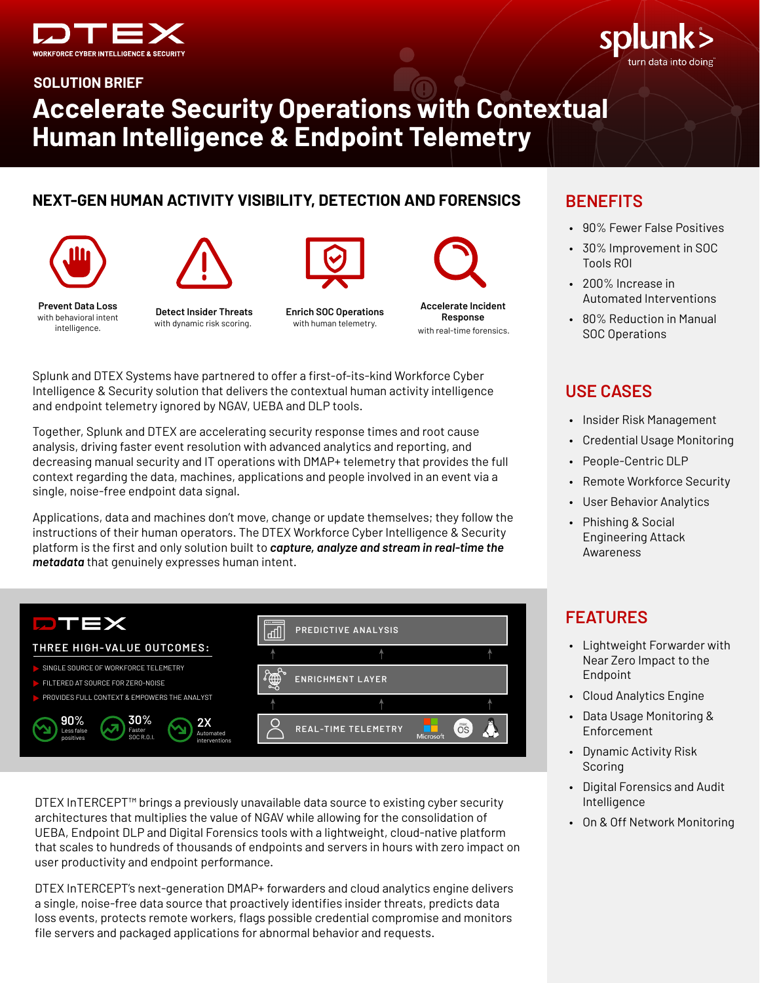



**SOLUTION BRIEF** 

# **Accelerate Security Operations with Contextual** Human Intelligence & Endpoint Telemetry

### NEXT-GEN HUMAN ACTIVITY VISIBILITY, DETECTION AND FORENSICS





with dynamic risk scoring.



**Detect Insider Threats** 



**Enrich SOC Operations** with human telemetry.



Splunk and DTEX Systems have partnered to offer a first-of-its-kind Workforce Cyber Intelligence & Security solution that delivers the contextual human activity intelligence and endpoint telemetry ignored by NGAV, UEBA and DLP tools.

Together, Splunk and DTEX are accelerating security response times and root cause analysis, driving faster event resolution with advanced analytics and reporting, and decreasing manual security and IT operations with DMAP+ telemetry that provides the full context regarding the data, machines, applications and people involved in an event via a single, noise-free endpoint data signal.

Applications, data and machines don't move, change or update themselves; they follow the instructions of their human operators. The DTEX Workforce Cyber Intelligence & Security platform is the first and only solution built to capture, analyze and stream in real-time the metadata that genuinely expresses human intent.

| PTEX                                                                                              | ᇤ                     | PREDICTIVE ANALYSIS                     |                  |
|---------------------------------------------------------------------------------------------------|-----------------------|-----------------------------------------|------------------|
| THREE HIGH-VALUE OUTCOMES:                                                                        |                       |                                         |                  |
| SINGLE SOURCE OF WORKFORCE TELEMETRY<br>FILTERED AT SOURCE FOR ZERO-NOISE                         | $\mathbb{Z}^{\infty}$ | <b>ENRICHMENT LAYER</b>                 |                  |
| PROVIDES FULL CONTEXT & EMPOWERS THE ANALYST                                                      |                       |                                         |                  |
| 30%<br>90%<br>2X<br>Faster<br>Less false<br>Automated<br>SOC R.O.I.<br>positives<br>interventions |                       | <b>REAL-TIME TELEMETRY</b><br>Microsoft | mac<br><b>OS</b> |

DTEX InTERCEPT<sup>™</sup> brings a previously unavailable data source to existing cyber security architectures that multiplies the value of NGAV while allowing for the consolidation of UEBA, Endpoint DLP and Digital Forensics tools with a lightweight, cloud-native platform that scales to hundreds of thousands of endpoints and servers in hours with zero impact on user productivity and endpoint performance.

DTEX InTERCEPT's next-generation DMAP+ forwarders and cloud analytics engine delivers a single, noise-free data source that proactively identifies insider threats, predicts data loss events, protects remote workers, flags possible credential compromise and monitors file servers and packaged applications for abnormal behavior and requests.

## **BENEFITS**

- 90% Fewer False Positives
- 30% Improvement in SOC Tools ROL
- 200% Increase in Automated Interventions
- 80% Reduction in Manual **SOC Operations**

## **USE CASES**

- Insider Risk Management
- Credential Usage Monitoring
- People-Centric DLP
- Remote Workforce Security
- User Behavior Analytics
- Phishing & Social  $\bullet$ **Engineering Attack** Awareness

## **FEATURES**

- Lightweight Forwarder with Near Zero Impact to the Endpoint
- Cloud Analytics Engine
- Data Usage Monitoring & Enforcement
- Dynamic Activity Risk Scoring
- Digital Forensics and Audit Intelligence
- On & Off Network Monitoring